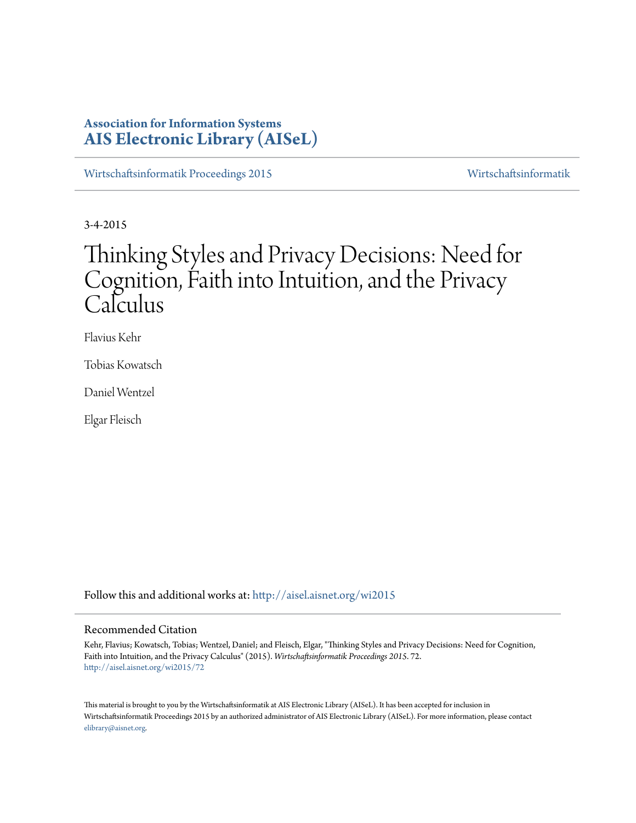# **Association for Information Systems [AIS Electronic Library \(AISeL\)](http://aisel.aisnet.org?utm_source=aisel.aisnet.org%2Fwi2015%2F72&utm_medium=PDF&utm_campaign=PDFCoverPages)**

[Wirtschaftsinformatik Proceedings 2015](http://aisel.aisnet.org/wi2015?utm_source=aisel.aisnet.org%2Fwi2015%2F72&utm_medium=PDF&utm_campaign=PDFCoverPages) [Wirtschaftsinformatik](http://aisel.aisnet.org/wi?utm_source=aisel.aisnet.org%2Fwi2015%2F72&utm_medium=PDF&utm_campaign=PDFCoverPages)

3-4-2015

# Thinking Styles and Privacy Decisions: Need for Cognition, Faith into Intuition, and the Privacy Calculus

Flavius Kehr

Tobias Kowatsch

Daniel Wentzel

Elgar Fleisch

Follow this and additional works at: [http://aisel.aisnet.org/wi2015](http://aisel.aisnet.org/wi2015?utm_source=aisel.aisnet.org%2Fwi2015%2F72&utm_medium=PDF&utm_campaign=PDFCoverPages)

## Recommended Citation

Kehr, Flavius; Kowatsch, Tobias; Wentzel, Daniel; and Fleisch, Elgar, "Thinking Styles and Privacy Decisions: Need for Cognition, Faith into Intuition, and the Privacy Calculus" (2015). *Wirtschaftsinformatik Proceedings 2015*. 72. [http://aisel.aisnet.org/wi2015/72](http://aisel.aisnet.org/wi2015/72?utm_source=aisel.aisnet.org%2Fwi2015%2F72&utm_medium=PDF&utm_campaign=PDFCoverPages)

This material is brought to you by the Wirtschaftsinformatik at AIS Electronic Library (AISeL). It has been accepted for inclusion in Wirtschaftsinformatik Proceedings 2015 by an authorized administrator of AIS Electronic Library (AISeL). For more information, please contact [elibrary@aisnet.org.](mailto:elibrary@aisnet.org%3E)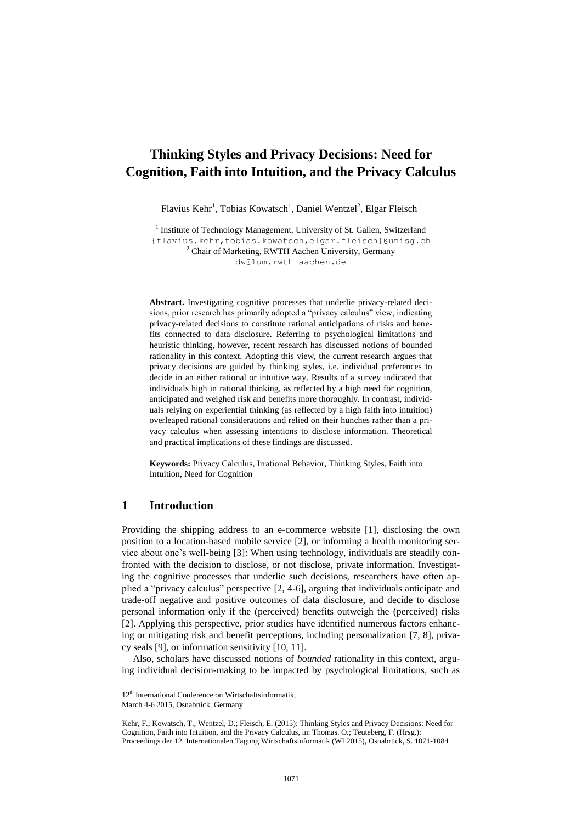# **Thinking Styles and Privacy Decisions: Need for Cognition, Faith into Intuition, and the Privacy Calculus**

Flavius Kehr<sup>1</sup>, Tobias Kowatsch<sup>1</sup>, Daniel Wentzel<sup>2</sup>, Elgar Fleisch<sup>1</sup>

<sup>1</sup> Institute of Technology Management, University of St. Gallen, Switzerland {flavius.kehr,tobias.kowatsch,elgar.fleisch}@unisg.ch <sup>2</sup> Chair of Marketing, RWTH Aachen University, Germany [dw@lum.rwth-aachen.de](mailto:dw@lum.rwth-aachen.de)

**Abstract.** Investigating cognitive processes that underlie privacy-related decisions, prior research has primarily adopted a "privacy calculus" view, indicating privacy-related decisions to constitute rational anticipations of risks and benefits connected to data disclosure. Referring to psychological limitations and heuristic thinking, however, recent research has discussed notions of bounded rationality in this context. Adopting this view, the current research argues that privacy decisions are guided by thinking styles, i.e. individual preferences to decide in an either rational or intuitive way. Results of a survey indicated that individuals high in rational thinking, as reflected by a high need for cognition, anticipated and weighed risk and benefits more thoroughly. In contrast, individuals relying on experiential thinking (as reflected by a high faith into intuition) overleaped rational considerations and relied on their hunches rather than a privacy calculus when assessing intentions to disclose information. Theoretical and practical implications of these findings are discussed.

**Keywords:** Privacy Calculus, Irrational Behavior, Thinking Styles, Faith into Intuition, Need for Cognition

# **1 Introduction**

Providing the shipping address to an e-commerce website [1], disclosing the own position to a location-based mobile service [2], or informing a health monitoring service about one's well-being [3]: When using technology, individuals are steadily confronted with the decision to disclose, or not disclose, private information. Investigating the cognitive processes that underlie such decisions, researchers have often applied a "privacy calculus" perspective [2, 4-6], arguing that individuals anticipate and trade-off negative and positive outcomes of data disclosure, and decide to disclose personal information only if the (perceived) benefits outweigh the (perceived) risks [2]. Applying this perspective, prior studies have identified numerous factors enhancing or mitigating risk and benefit perceptions, including personalization [7, 8], privacy seals [9], or information sensitivity [10, 11].

Also, scholars have discussed notions of *bounded* rationality in this context, arguing individual decision-making to be impacted by psychological limitations, such as

<sup>12&</sup>lt;sup>th</sup> International Conference on Wirtschaftsinformatik,

March 4-6 2015, Osnabrück, Germany

Kehr, F.; Kowatsch, T.; Wentzel, D.; Fleisch, E. (2015): Thinking Styles and Privacy Decisions: Need for Cognition, Faith into Intuition, and the Privacy Calculus, in: Thomas. O.; Teuteberg, F. (Hrsg.): Proceedings der 12. Internationalen Tagung Wirtschaftsinformatik (WI 2015), Osnabrück, S. 1071-1084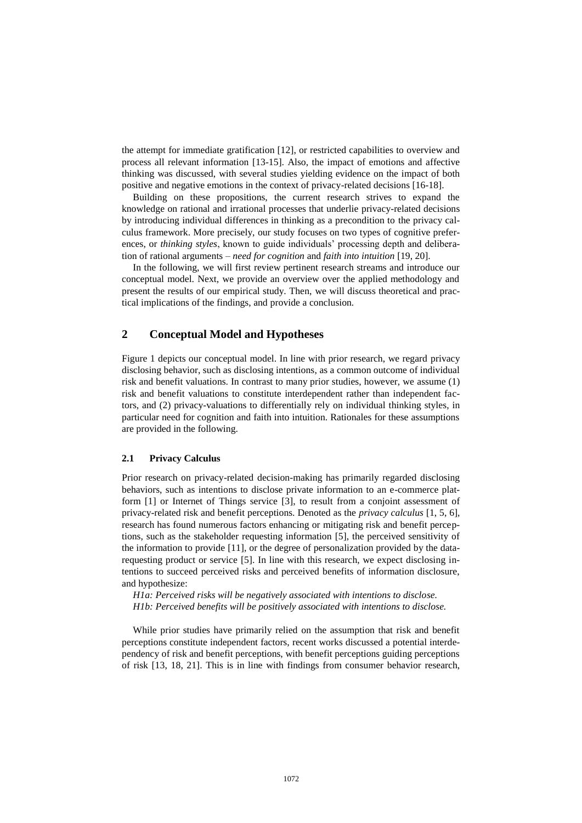the attempt for immediate gratification [12], or restricted capabilities to overview and process all relevant information [13-15]. Also, the impact of emotions and affective thinking was discussed, with several studies yielding evidence on the impact of both positive and negative emotions in the context of privacy-related decisions [16-18].

Building on these propositions, the current research strives to expand the knowledge on rational and irrational processes that underlie privacy-related decisions by introducing individual differences in thinking as a precondition to the privacy calculus framework. More precisely, our study focuses on two types of cognitive preferences, or *thinking styles*, known to guide individuals' processing depth and deliberation of rational arguments – *need for cognition* and *faith into intuition* [19, 20].

In the following, we will first review pertinent research streams and introduce our conceptual model. Next, we provide an overview over the applied methodology and present the results of our empirical study. Then, we will discuss theoretical and practical implications of the findings, and provide a conclusion.

# **2 Conceptual Model and Hypotheses**

Figure 1 depicts our conceptual model. In line with prior research, we regard privacy disclosing behavior, such as disclosing intentions, as a common outcome of individual risk and benefit valuations. In contrast to many prior studies, however, we assume (1) risk and benefit valuations to constitute interdependent rather than independent factors, and (2) privacy-valuations to differentially rely on individual thinking styles, in particular need for cognition and faith into intuition. Rationales for these assumptions are provided in the following.

#### **2.1 Privacy Calculus**

Prior research on privacy-related decision-making has primarily regarded disclosing behaviors, such as intentions to disclose private information to an e-commerce platform [1] or Internet of Things service [3], to result from a conjoint assessment of privacy-related risk and benefit perceptions. Denoted as the *privacy calculus* [1, 5, 6], research has found numerous factors enhancing or mitigating risk and benefit perceptions, such as the stakeholder requesting information [5], the perceived sensitivity of the information to provide [11], or the degree of personalization provided by the datarequesting product or service [5]. In line with this research, we expect disclosing intentions to succeed perceived risks and perceived benefits of information disclosure, and hypothesize:

*H1a: Perceived risks will be negatively associated with intentions to disclose. H1b: Perceived benefits will be positively associated with intentions to disclose.*

While prior studies have primarily relied on the assumption that risk and benefit perceptions constitute independent factors, recent works discussed a potential interdependency of risk and benefit perceptions, with benefit perceptions guiding perceptions of risk [13, 18, 21]. This is in line with findings from consumer behavior research,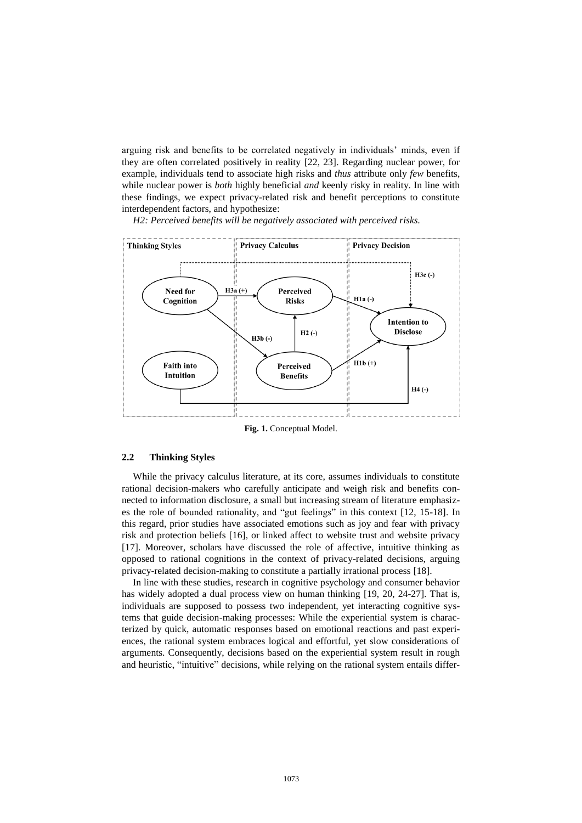arguing risk and benefits to be correlated negatively in individuals' minds, even if they are often correlated positively in reality [22, 23]. Regarding nuclear power, for example, individuals tend to associate high risks and *thus* attribute only *few* benefits, while nuclear power is *both* highly beneficial *and* keenly risky in reality. In line with these findings, we expect privacy-related risk and benefit perceptions to constitute interdependent factors, and hypothesize:

*H2: Perceived benefits will be negatively associated with perceived risks.*



**Fig. 1.** Conceptual Model.

## **2.2 Thinking Styles**

While the privacy calculus literature, at its core, assumes individuals to constitute rational decision-makers who carefully anticipate and weigh risk and benefits connected to information disclosure, a small but increasing stream of literature emphasizes the role of bounded rationality, and "gut feelings" in this context [12, 15-18]. In this regard, prior studies have associated emotions such as joy and fear with privacy risk and protection beliefs [16], or linked affect to website trust and website privacy [17]. Moreover, scholars have discussed the role of affective, intuitive thinking as opposed to rational cognitions in the context of privacy-related decisions, arguing privacy-related decision-making to constitute a partially irrational process [18].

In line with these studies, research in cognitive psychology and consumer behavior has widely adopted a dual process view on human thinking [19, 20, 24-27]. That is, individuals are supposed to possess two independent, yet interacting cognitive systems that guide decision-making processes: While the experiential system is characterized by quick, automatic responses based on emotional reactions and past experiences, the rational system embraces logical and effortful, yet slow considerations of arguments. Consequently, decisions based on the experiential system result in rough and heuristic, "intuitive" decisions, while relying on the rational system entails differ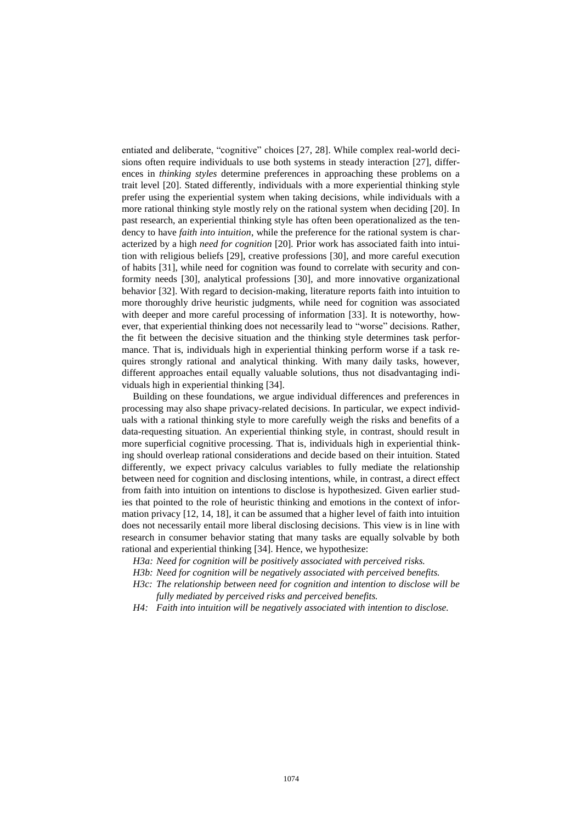entiated and deliberate, "cognitive" choices [27, 28]. While complex real-world decisions often require individuals to use both systems in steady interaction [27], differences in *thinking styles* determine preferences in approaching these problems on a trait level [20]. Stated differently, individuals with a more experiential thinking style prefer using the experiential system when taking decisions, while individuals with a more rational thinking style mostly rely on the rational system when deciding [20]. In past research, an experiential thinking style has often been operationalized as the tendency to have *faith into intuition*, while the preference for the rational system is characterized by a high *need for cognition* [20]*.* Prior work has associated faith into intuition with religious beliefs [29], creative professions [30], and more careful execution of habits [31], while need for cognition was found to correlate with security and conformity needs [30], analytical professions [30], and more innovative organizational behavior [32]. With regard to decision-making, literature reports faith into intuition to more thoroughly drive heuristic judgments, while need for cognition was associated with deeper and more careful processing of information [33]. It is noteworthy, however, that experiential thinking does not necessarily lead to "worse" decisions. Rather, the fit between the decisive situation and the thinking style determines task performance. That is, individuals high in experiential thinking perform worse if a task requires strongly rational and analytical thinking. With many daily tasks, however, different approaches entail equally valuable solutions, thus not disadvantaging individuals high in experiential thinking [34].

Building on these foundations, we argue individual differences and preferences in processing may also shape privacy-related decisions. In particular, we expect individuals with a rational thinking style to more carefully weigh the risks and benefits of a data-requesting situation. An experiential thinking style, in contrast, should result in more superficial cognitive processing. That is, individuals high in experiential thinking should overleap rational considerations and decide based on their intuition. Stated differently, we expect privacy calculus variables to fully mediate the relationship between need for cognition and disclosing intentions, while, in contrast, a direct effect from faith into intuition on intentions to disclose is hypothesized. Given earlier studies that pointed to the role of heuristic thinking and emotions in the context of information privacy [12, 14, 18], it can be assumed that a higher level of faith into intuition does not necessarily entail more liberal disclosing decisions. This view is in line with research in consumer behavior stating that many tasks are equally solvable by both rational and experiential thinking [34]. Hence, we hypothesize:

*H3a: Need for cognition will be positively associated with perceived risks.*

*H3b: Need for cognition will be negatively associated with perceived benefits.*

*H3c: The relationship between need for cognition and intention to disclose will be fully mediated by perceived risks and perceived benefits.*

*H4: Faith into intuition will be negatively associated with intention to disclose.*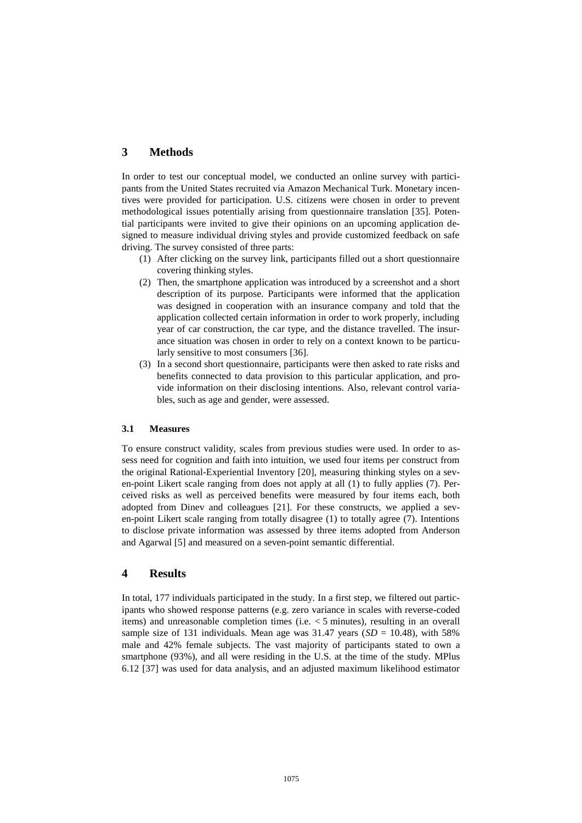# **3 Methods**

In order to test our conceptual model, we conducted an online survey with participants from the United States recruited via Amazon Mechanical Turk. Monetary incentives were provided for participation. U.S. citizens were chosen in order to prevent methodological issues potentially arising from questionnaire translation [35]. Potential participants were invited to give their opinions on an upcoming application designed to measure individual driving styles and provide customized feedback on safe driving. The survey consisted of three parts:

- (1) After clicking on the survey link, participants filled out a short questionnaire covering thinking styles.
- (2) Then, the smartphone application was introduced by a screenshot and a short description of its purpose. Participants were informed that the application was designed in cooperation with an insurance company and told that the application collected certain information in order to work properly, including year of car construction, the car type, and the distance travelled. The insurance situation was chosen in order to rely on a context known to be particularly sensitive to most consumers [36].
- (3) In a second short questionnaire, participants were then asked to rate risks and benefits connected to data provision to this particular application, and provide information on their disclosing intentions. Also, relevant control variables, such as age and gender, were assessed.

#### **3.1 Measures**

To ensure construct validity, scales from previous studies were used. In order to assess need for cognition and faith into intuition, we used four items per construct from the original Rational-Experiential Inventory [20], measuring thinking styles on a seven-point Likert scale ranging from does not apply at all (1) to fully applies (7). Perceived risks as well as perceived benefits were measured by four items each, both adopted from Dinev and colleagues [21]. For these constructs, we applied a seven-point Likert scale ranging from totally disagree (1) to totally agree (7). Intentions to disclose private information was assessed by three items adopted from Anderson and Agarwal [5] and measured on a seven-point semantic differential.

# **4 Results**

In total, 177 individuals participated in the study. In a first step, we filtered out participants who showed response patterns (e.g. zero variance in scales with reverse-coded items) and unreasonable completion times (i.e. < 5 minutes), resulting in an overall sample size of 131 individuals. Mean age was  $31.47$  years (*SD* = 10.48), with 58% male and 42% female subjects. The vast majority of participants stated to own a smartphone (93%), and all were residing in the U.S. at the time of the study. MPlus 6.12 [37] was used for data analysis, and an adjusted maximum likelihood estimator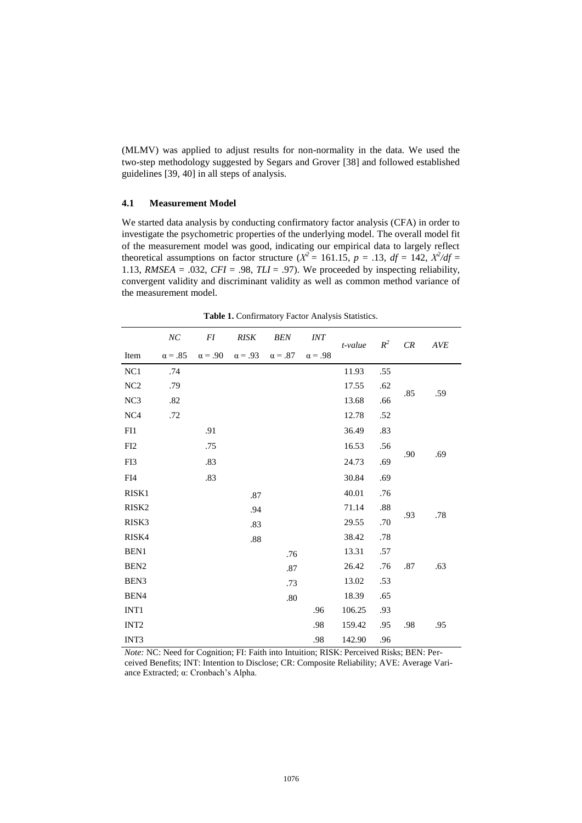(MLMV) was applied to adjust results for non-normality in the data. We used the two-step methodology suggested by Segars and Grover [38] and followed established guidelines [39, 40] in all steps of analysis.

#### **4.1 Measurement Model**

We started data analysis by conducting confirmatory factor analysis (CFA) in order to investigate the psychometric properties of the underlying model. The overall model fit of the measurement model was good, indicating our empirical data to largely reflect theoretical assumptions on factor structure ( $X^2 = 161.15$ ,  $p = .13$ ,  $df = 142$ ,  $X^2/df =$ 1.13, *RMSEA* = .032, *CFI* = .98, *TLI* = .97). We proceeded by inspecting reliability, convergent validity and discriminant validity as well as common method variance of the measurement model.

|                   | NC             | FI             | <b>RISK</b>    | <b>BEN</b>     | <i>INT</i>     | t-value | $R^2$ | CR  | <b>AVE</b> |
|-------------------|----------------|----------------|----------------|----------------|----------------|---------|-------|-----|------------|
| Item              | $\alpha = .85$ | $\alpha = .90$ | $\alpha = .93$ | $\alpha = .87$ | $\alpha = .98$ |         |       |     |            |
| NC1               | .74            |                |                |                |                | 11.93   | .55   |     |            |
| NC2               | .79            |                |                |                |                | 17.55   | .62   | .85 | .59        |
| NC3               | .82            |                |                |                |                | 13.68   | .66   |     |            |
| NC <sub>4</sub>   | .72            |                |                |                |                | 12.78   | .52   |     |            |
| FI1               |                | .91            |                |                |                | 36.49   | .83   |     |            |
| FI2               |                | .75            |                |                |                | 16.53   | .56   | .90 | .69        |
| FI3               |                | .83            |                |                |                | 24.73   | .69   |     |            |
| FI4               |                | .83            |                |                |                | 30.84   | .69   |     |            |
| RISK1             |                |                | .87            |                |                | 40.01   | .76   |     |            |
| RISK <sub>2</sub> |                |                | .94            |                |                | 71.14   | .88   | .93 | .78        |
| RISK3             |                |                | .83            |                |                | 29.55   | .70   |     |            |
| RISK4             |                |                | $.88\,$        |                |                | 38.42   | .78   |     |            |
| BEN1              |                |                |                | .76            |                | 13.31   | .57   |     |            |
| BEN <sub>2</sub>  |                |                |                | .87            |                | 26.42   | .76   | .87 | .63        |
| BEN <sub>3</sub>  |                |                |                | .73            |                | 13.02   | .53   |     |            |
| BEN4              |                |                |                | $.80\,$        |                | 18.39   | .65   |     |            |
| INT <sub>1</sub>  |                |                |                |                | .96            | 106.25  | .93   |     |            |
| INT <sub>2</sub>  |                |                |                |                | .98            | 159.42  | .95   | .98 | .95        |
| INT3              |                |                |                |                | .98            | 142.90  | .96   |     |            |

**Table 1.** Confirmatory Factor Analysis Statistics.

*Note:* NC: Need for Cognition; FI: Faith into Intuition; RISK: Perceived Risks; BEN: Perceived Benefits; INT: Intention to Disclose; CR: Composite Reliability; AVE: Average Variance Extracted; α: Cronbach's Alpha.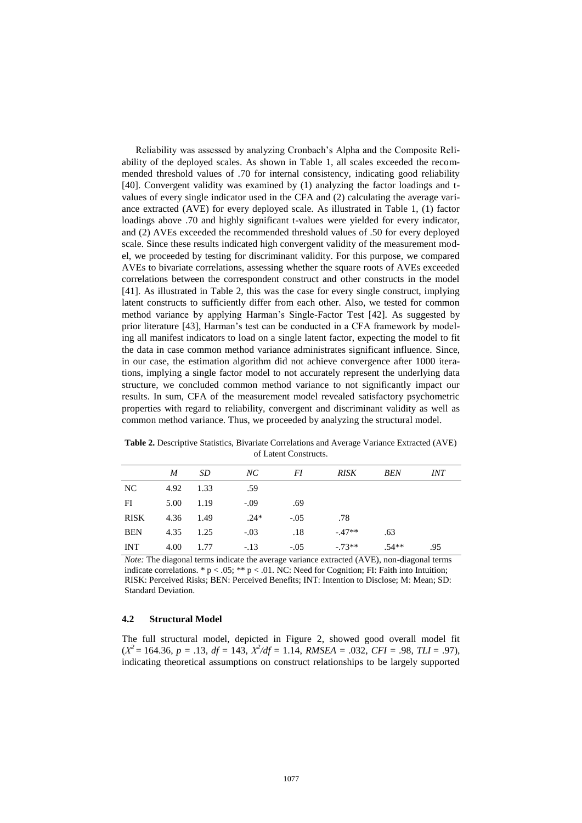Reliability was assessed by analyzing Cronbach's Alpha and the Composite Reliability of the deployed scales. As shown in Table 1, all scales exceeded the recommended threshold values of .70 for internal consistency, indicating good reliability [40]. Convergent validity was examined by (1) analyzing the factor loadings and tvalues of every single indicator used in the CFA and (2) calculating the average variance extracted (AVE) for every deployed scale. As illustrated in Table 1, (1) factor loadings above .70 and highly significant t-values were yielded for every indicator, and (2) AVEs exceeded the recommended threshold values of .50 for every deployed scale. Since these results indicated high convergent validity of the measurement model, we proceeded by testing for discriminant validity. For this purpose, we compared AVEs to bivariate correlations, assessing whether the square roots of AVEs exceeded correlations between the correspondent construct and other constructs in the model [41]. As illustrated in Table 2, this was the case for every single construct, implying latent constructs to sufficiently differ from each other. Also, we tested for common method variance by applying Harman's Single-Factor Test [42]. As suggested by prior literature [43], Harman's test can be conducted in a CFA framework by modeling all manifest indicators to load on a single latent factor, expecting the model to fit the data in case common method variance administrates significant influence. Since, in our case, the estimation algorithm did not achieve convergence after 1000 iterations, implying a single factor model to not accurately represent the underlying data structure, we concluded common method variance to not significantly impact our results. In sum, CFA of the measurement model revealed satisfactory psychometric properties with regard to reliability, convergent and discriminant validity as well as common method variance. Thus, we proceeded by analyzing the structural model.

|             | M         | - SD | NC     | FI     | RISK    | BEN     | <i>INT</i> |
|-------------|-----------|------|--------|--------|---------|---------|------------|
| NC.         | 4.92 1.33 |      | .59    |        |         |         |            |
| FI          | 5.00      | 1.19 | $-.09$ | .69    |         |         |            |
| <b>RISK</b> | 4.36 1.49 |      | $.24*$ | $-.05$ | .78     |         |            |
| <b>BEN</b>  | 4.35      | 1.25 | $-.03$ | .18    | $-47**$ | .63     |            |
| INT         | 4.00      | 1.77 | $-.13$ | $-.05$ | $-73**$ | $.54**$ | .95        |

**Table 2.** Descriptive Statistics, Bivariate Correlations and Average Variance Extracted (AVE) of Latent Constructs.

*Note:* The diagonal terms indicate the average variance extracted (AVE), non-diagonal terms indicate correlations. \*  $p < .05$ ; \*\*  $p < .01$ . NC: Need for Cognition; FI: Faith into Intuition; RISK: Perceived Risks; BEN: Perceived Benefits; INT: Intention to Disclose; M: Mean; SD: Standard Deviation.

# **4.2 Structural Model**

The full structural model, depicted in Figure 2, showed good overall model fit  $(X^2 = 164.36, p = .13, df = 143, X^2/df = 1.14, RMSEA = .032, CFI = .98, TLI = .97$ ), indicating theoretical assumptions on construct relationships to be largely supported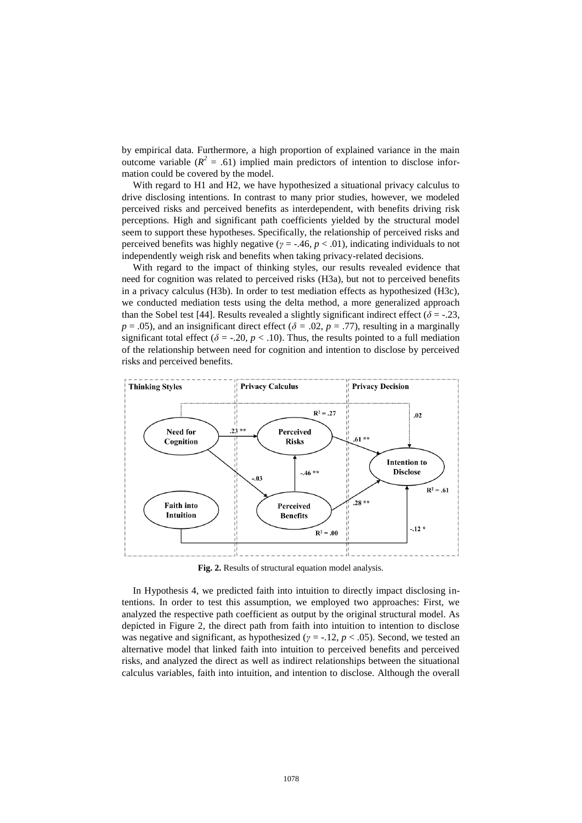by empirical data. Furthermore, a high proportion of explained variance in the main outcome variable  $(R^2 = .61)$  implied main predictors of intention to disclose information could be covered by the model.

With regard to H1 and H2, we have hypothesized a situational privacy calculus to drive disclosing intentions. In contrast to many prior studies, however, we modeled perceived risks and perceived benefits as interdependent, with benefits driving risk perceptions. High and significant path coefficients yielded by the structural model seem to support these hypotheses. Specifically, the relationship of perceived risks and perceived benefits was highly negative (*γ* = -.46, *p* < .01), indicating individuals to not independently weigh risk and benefits when taking privacy-related decisions.

With regard to the impact of thinking styles, our results revealed evidence that need for cognition was related to perceived risks (H3a), but not to perceived benefits in a privacy calculus (H3b). In order to test mediation effects as hypothesized (H3c), we conducted mediation tests using the delta method, a more generalized approach than the Sobel test [44]. Results revealed a slightly significant indirect effect ( $\delta$  = -.23,  $p = .05$ ), and an insignificant direct effect ( $\delta = .02$ ,  $p = .77$ ), resulting in a marginally significant total effect ( $\delta$  = -.20,  $p$  < .10). Thus, the results pointed to a full mediation of the relationship between need for cognition and intention to disclose by perceived risks and perceived benefits.



**Fig. 2.** Results of structural equation model analysis.

In Hypothesis 4, we predicted faith into intuition to directly impact disclosing intentions. In order to test this assumption, we employed two approaches: First, we analyzed the respective path coefficient as output by the original structural model. As depicted in Figure 2, the direct path from faith into intuition to intention to disclose was negative and significant, as hypothesized (*γ* = -.12, *p* < .05). Second, we tested an alternative model that linked faith into intuition to perceived benefits and perceived risks, and analyzed the direct as well as indirect relationships between the situational calculus variables, faith into intuition, and intention to disclose. Although the overall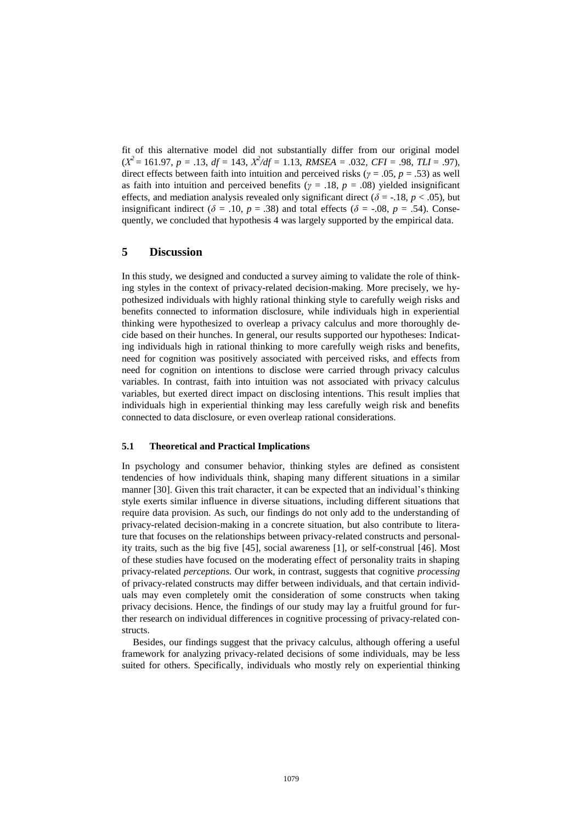fit of this alternative model did not substantially differ from our original model  $(X^2 = 161.97, p = .13, df = 143, X^2/df = 1.13, RMSEA = .032, CFI = .98, TLI = .97$ ), direct effects between faith into intuition and perceived risks ( $\gamma = .05$ ,  $p = .53$ ) as well as faith into intuition and perceived benefits ( $\gamma = .18$ ,  $p = .08$ ) yielded insignificant effects, and mediation analysis revealed only significant direct ( $\delta$  = -.18, *p* < .05), but insignificant indirect ( $\delta$  = .10, *p* = .38) and total effects ( $\delta$  = -.08, *p* = .54). Consequently, we concluded that hypothesis 4 was largely supported by the empirical data.

# **5 Discussion**

In this study, we designed and conducted a survey aiming to validate the role of thinking styles in the context of privacy-related decision-making. More precisely, we hypothesized individuals with highly rational thinking style to carefully weigh risks and benefits connected to information disclosure, while individuals high in experiential thinking were hypothesized to overleap a privacy calculus and more thoroughly decide based on their hunches. In general, our results supported our hypotheses: Indicating individuals high in rational thinking to more carefully weigh risks and benefits, need for cognition was positively associated with perceived risks, and effects from need for cognition on intentions to disclose were carried through privacy calculus variables. In contrast, faith into intuition was not associated with privacy calculus variables, but exerted direct impact on disclosing intentions. This result implies that individuals high in experiential thinking may less carefully weigh risk and benefits connected to data disclosure, or even overleap rational considerations.

#### **5.1 Theoretical and Practical Implications**

In psychology and consumer behavior, thinking styles are defined as consistent tendencies of how individuals think, shaping many different situations in a similar manner [30]. Given this trait character, it can be expected that an individual's thinking style exerts similar influence in diverse situations, including different situations that require data provision. As such, our findings do not only add to the understanding of privacy-related decision-making in a concrete situation, but also contribute to literature that focuses on the relationships between privacy-related constructs and personality traits, such as the big five [45], social awareness [1], or self-construal [46]. Most of these studies have focused on the moderating effect of personality traits in shaping privacy-related *perceptions.* Our work, in contrast, suggests that cognitive *processing* of privacy-related constructs may differ between individuals, and that certain individuals may even completely omit the consideration of some constructs when taking privacy decisions. Hence, the findings of our study may lay a fruitful ground for further research on individual differences in cognitive processing of privacy-related constructs.

Besides, our findings suggest that the privacy calculus, although offering a useful framework for analyzing privacy-related decisions of some individuals, may be less suited for others. Specifically, individuals who mostly rely on experiential thinking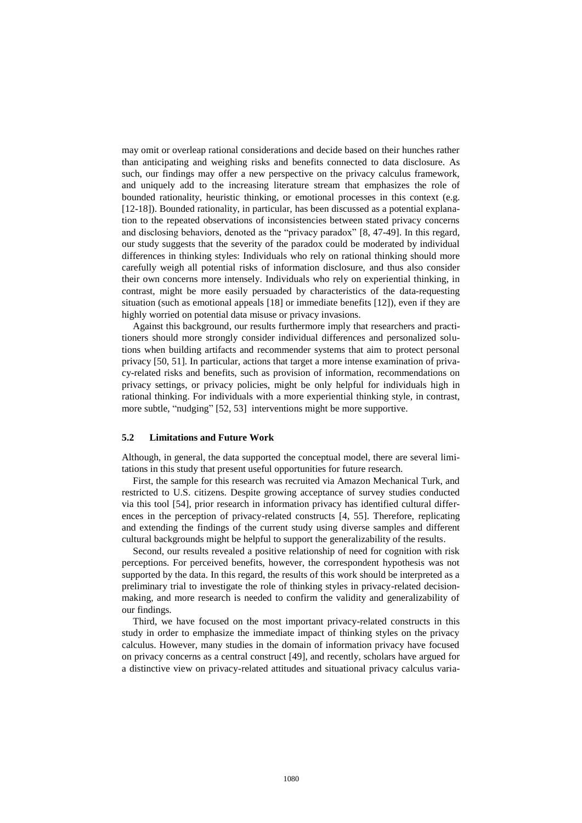may omit or overleap rational considerations and decide based on their hunches rather than anticipating and weighing risks and benefits connected to data disclosure. As such, our findings may offer a new perspective on the privacy calculus framework, and uniquely add to the increasing literature stream that emphasizes the role of bounded rationality, heuristic thinking, or emotional processes in this context (e.g. [12-18]). Bounded rationality, in particular, has been discussed as a potential explanation to the repeated observations of inconsistencies between stated privacy concerns and disclosing behaviors, denoted as the "privacy paradox" [8, 47-49]. In this regard, our study suggests that the severity of the paradox could be moderated by individual differences in thinking styles: Individuals who rely on rational thinking should more carefully weigh all potential risks of information disclosure, and thus also consider their own concerns more intensely. Individuals who rely on experiential thinking, in contrast, might be more easily persuaded by characteristics of the data-requesting situation (such as emotional appeals [18] or immediate benefits [12]), even if they are highly worried on potential data misuse or privacy invasions.

Against this background, our results furthermore imply that researchers and practitioners should more strongly consider individual differences and personalized solutions when building artifacts and recommender systems that aim to protect personal privacy [50, 51]. In particular, actions that target a more intense examination of privacy-related risks and benefits, such as provision of information, recommendations on privacy settings, or privacy policies, might be only helpful for individuals high in rational thinking. For individuals with a more experiential thinking style, in contrast, more subtle, "nudging" [52, 53] interventions might be more supportive.

#### **5.2 Limitations and Future Work**

Although, in general, the data supported the conceptual model, there are several limitations in this study that present useful opportunities for future research.

First, the sample for this research was recruited via Amazon Mechanical Turk, and restricted to U.S. citizens. Despite growing acceptance of survey studies conducted via this tool [54], prior research in information privacy has identified cultural differences in the perception of privacy-related constructs [4, 55]. Therefore, replicating and extending the findings of the current study using diverse samples and different cultural backgrounds might be helpful to support the generalizability of the results.

Second, our results revealed a positive relationship of need for cognition with risk perceptions. For perceived benefits, however, the correspondent hypothesis was not supported by the data. In this regard, the results of this work should be interpreted as a preliminary trial to investigate the role of thinking styles in privacy-related decisionmaking, and more research is needed to confirm the validity and generalizability of our findings.

Third, we have focused on the most important privacy-related constructs in this study in order to emphasize the immediate impact of thinking styles on the privacy calculus. However, many studies in the domain of information privacy have focused on privacy concerns as a central construct [49], and recently, scholars have argued for a distinctive view on privacy-related attitudes and situational privacy calculus varia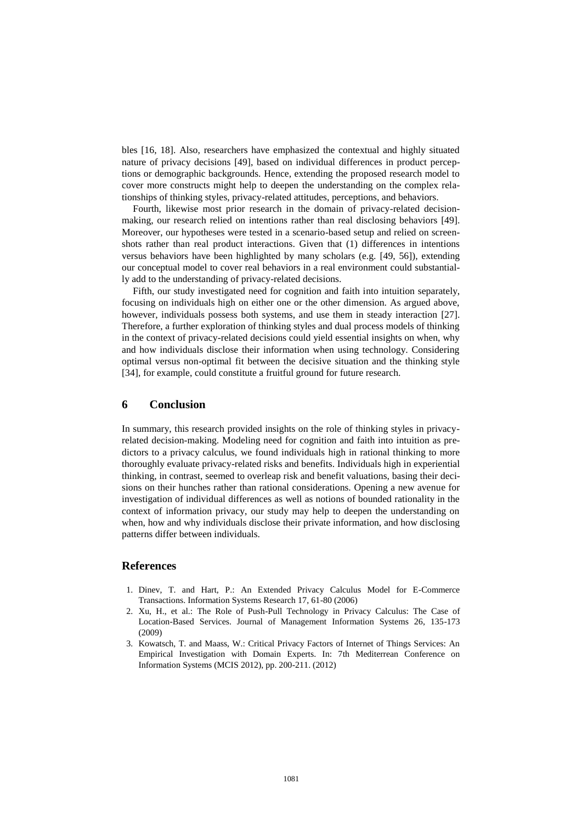bles [16, 18]. Also, researchers have emphasized the contextual and highly situated nature of privacy decisions [49], based on individual differences in product perceptions or demographic backgrounds. Hence, extending the proposed research model to cover more constructs might help to deepen the understanding on the complex relationships of thinking styles, privacy-related attitudes, perceptions, and behaviors.

Fourth, likewise most prior research in the domain of privacy-related decisionmaking, our research relied on intentions rather than real disclosing behaviors [49]. Moreover, our hypotheses were tested in a scenario-based setup and relied on screenshots rather than real product interactions. Given that (1) differences in intentions versus behaviors have been highlighted by many scholars (e.g. [49, 56]), extending our conceptual model to cover real behaviors in a real environment could substantially add to the understanding of privacy-related decisions.

Fifth, our study investigated need for cognition and faith into intuition separately, focusing on individuals high on either one or the other dimension. As argued above, however, individuals possess both systems, and use them in steady interaction [27]. Therefore, a further exploration of thinking styles and dual process models of thinking in the context of privacy-related decisions could yield essential insights on when, why and how individuals disclose their information when using technology. Considering optimal versus non-optimal fit between the decisive situation and the thinking style [34], for example, could constitute a fruitful ground for future research.

## **6 Conclusion**

In summary, this research provided insights on the role of thinking styles in privacyrelated decision-making. Modeling need for cognition and faith into intuition as predictors to a privacy calculus, we found individuals high in rational thinking to more thoroughly evaluate privacy-related risks and benefits. Individuals high in experiential thinking, in contrast, seemed to overleap risk and benefit valuations, basing their decisions on their hunches rather than rational considerations. Opening a new avenue for investigation of individual differences as well as notions of bounded rationality in the context of information privacy, our study may help to deepen the understanding on when, how and why individuals disclose their private information, and how disclosing patterns differ between individuals.

# **References**

- 1. Dinev, T. and Hart, P.: An Extended Privacy Calculus Model for E-Commerce Transactions. Information Systems Research 17, 61-80 (2006)
- 2. Xu, H., et al.: The Role of Push-Pull Technology in Privacy Calculus: The Case of Location-Based Services. Journal of Management Information Systems 26, 135-173 (2009)
- 3. Kowatsch, T. and Maass, W.: Critical Privacy Factors of Internet of Things Services: An Empirical Investigation with Domain Experts. In: 7th Mediterrean Conference on Information Systems (MCIS 2012), pp. 200-211. (2012)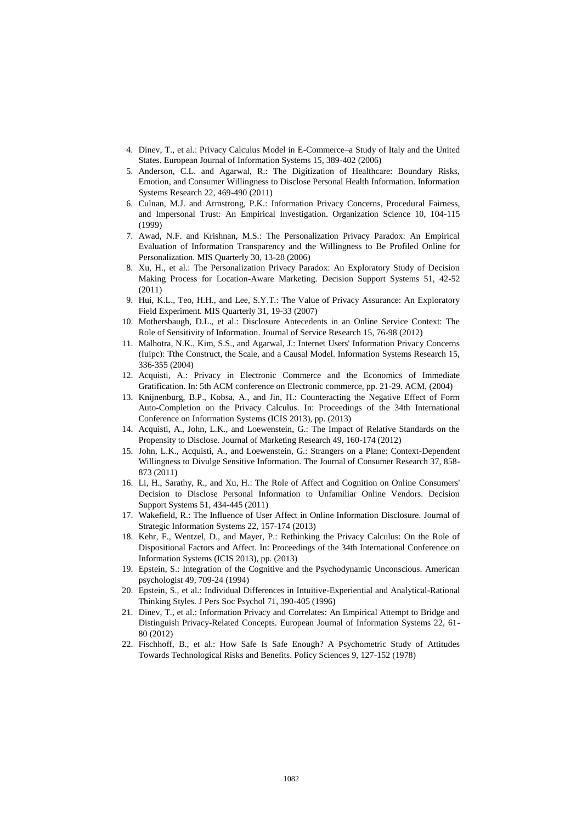- 4. Dinev, T., et al.: Privacy Calculus Model in E-Commerce–a Study of Italy and the United States. European Journal of Information Systems 15, 389-402 (2006)
- 5. Anderson, C.L. and Agarwal, R.: The Digitization of Healthcare: Boundary Risks, Emotion, and Consumer Willingness to Disclose Personal Health Information. Information Systems Research 22, 469-490 (2011)
- 6. Culnan, M.J. and Armstrong, P.K.: Information Privacy Concerns, Procedural Fairness, and Impersonal Trust: An Empirical Investigation. Organization Science 10, 104-115 (1999)
- 7. Awad, N.F. and Krishnan, M.S.: The Personalization Privacy Paradox: An Empirical Evaluation of Information Transparency and the Willingness to Be Profiled Online for Personalization. MIS Quarterly 30, 13-28 (2006)
- 8. Xu, H., et al.: The Personalization Privacy Paradox: An Exploratory Study of Decision Making Process for Location-Aware Marketing. Decision Support Systems 51, 42-52 (2011)
- 9. Hui, K.L., Teo, H.H., and Lee, S.Y.T.: The Value of Privacy Assurance: An Exploratory Field Experiment. MIS Quarterly 31, 19-33 (2007)
- 10. Mothersbaugh, D.L., et al.: Disclosure Antecedents in an Online Service Context: The Role of Sensitivity of Information. Journal of Service Research 15, 76-98 (2012)
- 11. Malhotra, N.K., Kim, S.S., and Agarwal, J.: Internet Users' Information Privacy Concerns (Iuipc): Tthe Construct, the Scale, and a Causal Model. Information Systems Research 15, 336-355 (2004)
- 12. Acquisti, A.: Privacy in Electronic Commerce and the Economics of Immediate Gratification. In: 5th ACM conference on Electronic commerce, pp. 21-29. ACM, (2004)
- 13. Knijnenburg, B.P., Kobsa, A., and Jin, H.: Counteracting the Negative Effect of Form Auto-Completion on the Privacy Calculus. In: Proceedings of the 34th International Conference on Information Systems (ICIS 2013), pp. (2013)
- 14. Acquisti, A., John, L.K., and Loewenstein, G.: The Impact of Relative Standards on the Propensity to Disclose. Journal of Marketing Research 49, 160-174 (2012)
- 15. John, L.K., Acquisti, A., and Loewenstein, G.: Strangers on a Plane: Context-Dependent Willingness to Divulge Sensitive Information. The Journal of Consumer Research 37, 858- 873 (2011)
- 16. Li, H., Sarathy, R., and Xu, H.: The Role of Affect and Cognition on Online Consumers' Decision to Disclose Personal Information to Unfamiliar Online Vendors. Decision Support Systems 51, 434-445 (2011)
- 17. Wakefield, R.: The Influence of User Affect in Online Information Disclosure. Journal of Strategic Information Systems 22, 157-174 (2013)
- 18. Kehr, F., Wentzel, D., and Mayer, P.: Rethinking the Privacy Calculus: On the Role of Dispositional Factors and Affect. In: Proceedings of the 34th International Conference on Information Systems (ICIS 2013), pp. (2013)
- 19. Epstein, S.: Integration of the Cognitive and the Psychodynamic Unconscious. American psychologist 49, 709-24 (1994)
- 20. Epstein, S., et al.: Individual Differences in Intuitive-Experiential and Analytical-Rational Thinking Styles. J Pers Soc Psychol 71, 390-405 (1996)
- 21. Dinev, T., et al.: Information Privacy and Correlates: An Empirical Attempt to Bridge and Distinguish Privacy-Related Concepts. European Journal of Information Systems 22, 61- 80 (2012)
- 22. Fischhoff, B., et al.: How Safe Is Safe Enough? A Psychometric Study of Attitudes Towards Technological Risks and Benefits. Policy Sciences 9, 127-152 (1978)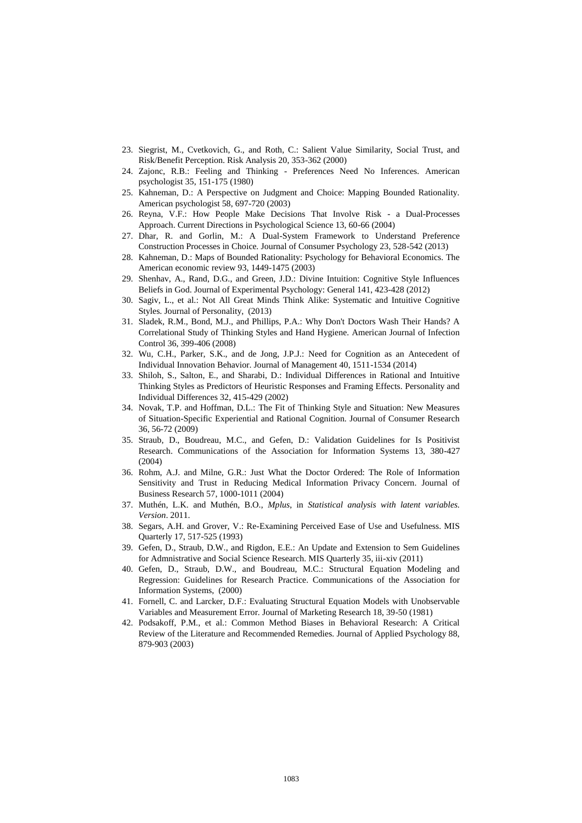- 23. Siegrist, M., Cvetkovich, G., and Roth, C.: Salient Value Similarity, Social Trust, and Risk/Benefit Perception. Risk Analysis 20, 353-362 (2000)
- 24. Zajonc, R.B.: Feeling and Thinking Preferences Need No Inferences. American psychologist 35, 151-175 (1980)
- 25. Kahneman, D.: A Perspective on Judgment and Choice: Mapping Bounded Rationality. American psychologist 58, 697-720 (2003)
- 26. Reyna, V.F.: How People Make Decisions That Involve Risk a Dual-Processes Approach. Current Directions in Psychological Science 13, 60-66 (2004)
- 27. Dhar, R. and Gorlin, M.: A Dual-System Framework to Understand Preference Construction Processes in Choice. Journal of Consumer Psychology 23, 528-542 (2013)
- 28. Kahneman, D.: Maps of Bounded Rationality: Psychology for Behavioral Economics. The American economic review 93, 1449-1475 (2003)
- 29. Shenhav, A., Rand, D.G., and Green, J.D.: Divine Intuition: Cognitive Style Influences Beliefs in God. Journal of Experimental Psychology: General 141, 423-428 (2012)
- 30. Sagiv, L., et al.: Not All Great Minds Think Alike: Systematic and Intuitive Cognitive Styles. Journal of Personality, (2013)
- 31. Sladek, R.M., Bond, M.J., and Phillips, P.A.: Why Don't Doctors Wash Their Hands? A Correlational Study of Thinking Styles and Hand Hygiene. American Journal of Infection Control 36, 399-406 (2008)
- 32. Wu, C.H., Parker, S.K., and de Jong, J.P.J.: Need for Cognition as an Antecedent of Individual Innovation Behavior. Journal of Management 40, 1511-1534 (2014)
- 33. Shiloh, S., Salton, E., and Sharabi, D.: Individual Differences in Rational and Intuitive Thinking Styles as Predictors of Heuristic Responses and Framing Effects. Personality and Individual Differences 32, 415-429 (2002)
- 34. Novak, T.P. and Hoffman, D.L.: The Fit of Thinking Style and Situation: New Measures of Situation-Specific Experiential and Rational Cognition. Journal of Consumer Research 36, 56-72 (2009)
- 35. Straub, D., Boudreau, M.C., and Gefen, D.: Validation Guidelines for Is Positivist Research. Communications of the Association for Information Systems 13, 380-427 (2004)
- 36. Rohm, A.J. and Milne, G.R.: Just What the Doctor Ordered: The Role of Information Sensitivity and Trust in Reducing Medical Information Privacy Concern. Journal of Business Research 57, 1000-1011 (2004)
- 37. Muthén, L.K. and Muthén, B.O., *Mplus*, in *Statistical analysis with latent variables. Version*. 2011.
- 38. Segars, A.H. and Grover, V.: Re-Examining Perceived Ease of Use and Usefulness. MIS Quarterly 17, 517-525 (1993)
- 39. Gefen, D., Straub, D.W., and Rigdon, E.E.: An Update and Extension to Sem Guidelines for Admnistrative and Social Science Research. MIS Quarterly 35, iii-xiv (2011)
- 40. Gefen, D., Straub, D.W., and Boudreau, M.C.: Structural Equation Modeling and Regression: Guidelines for Research Practice. Communications of the Association for Information Systems, (2000)
- 41. Fornell, C. and Larcker, D.F.: Evaluating Structural Equation Models with Unobservable Variables and Measurement Error. Journal of Marketing Research 18, 39-50 (1981)
- 42. Podsakoff, P.M., et al.: Common Method Biases in Behavioral Research: A Critical Review of the Literature and Recommended Remedies. Journal of Applied Psychology 88, 879-903 (2003)